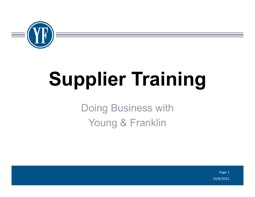

# **Supplier Training**

Doing Business with Young & Franklin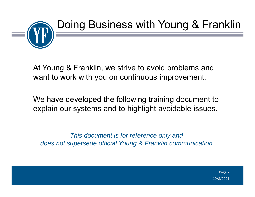

At Young & Franklin, we strive to avoid problems and want to work with you on continuous improvement.

We have developed the following training document to explain our systems and to highlight avoidable issues.

*This document is for reference only and does not supersede official Young & Franklin communication*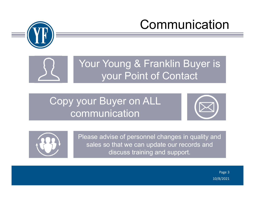

## Communication



Your Young & Franklin Buyer is your Point of Contact

#### Copy your Buyer on ALL communication





Please advise of personnel changes in quality and sales so that we can update our records and discuss training and support.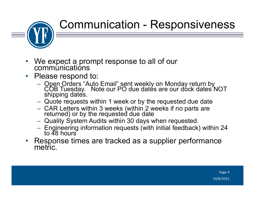

#### Communication - Responsiveness

- $\bullet$ We expect a prompt response to all of our communications
- $\bullet$  Please respond to:
	- Open Orders "Auto Email" sent weekly on Monday return by<br>COB Tuesday. Note our PO due dates are our dock dates NOT<br>shipping dates.
	- Quote requests within 1 week or by the requested due date
	- CAR Letters within 3 weeks (within 2 weeks if no parts are<br>returned) or by the requested due date
	- Quality System Audits within 30 days when requested.
	- Engineering information requests (with initial feedback) within 24<br>to 48 hours
- $\bullet$ Response times are tracked as a supplier performance metric.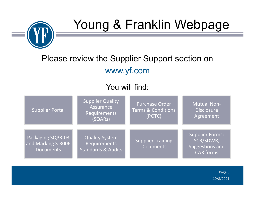

## Young & Franklin Webpage

#### Please review the Supplier Support section on www.yf.com

#### You will find:

| <b>Supplier Portal</b>                                      | Supplier Quality<br>Assurance<br>Requirements<br>(SQARs)               | <b>Purchase Order</b><br><b>Terms &amp; Conditions</b><br>(POTC) | <b>Mutual Non-</b><br><b>Disclosure</b><br>Agreement                |
|-------------------------------------------------------------|------------------------------------------------------------------------|------------------------------------------------------------------|---------------------------------------------------------------------|
| Packaging SQPR-03<br>and Marking S-3006<br><b>Documents</b> | <b>Quality System</b><br>Requirements<br><b>Standards &amp; Audits</b> | Supplier Training<br><b>Documents</b>                            | Supplier Forms:<br>SCR/SDWR,<br>Suggestions and<br><b>CAR forms</b> |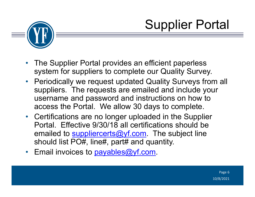



- • The Supplier Portal provides an efficient paperless system for suppliers to complete our Quality Survey.
- Periodically we request updated Quality Surveys from all suppliers. The requests are emailed and include your username and password and instructions on how to access the Portal. We allow 30 days to complete.
- Certifications are no longer uploaded in the Supplier Portal. Effective 9/30/18 all certifications should be emailed to **suppliercerts@yf.com** The subject line should list PO#, line#, part# and quantity.
- Email invoices to **payables@yf.com**.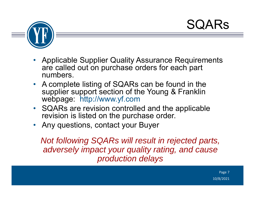#### **SQARS**



- • Applicable Supplier Quality Assurance Requirements are called out on purchase orders for each part numbers.
- A complete listing of SQARs can be found in the supplier support section of the Young & Franklin webpage: http://www.yf.com
- SQARs are revision controlled and the applicable revision is listed on the purchase order.
- •Any questions, contact your Buyer

*Not following SQARs will result in rejected parts, adversely impact your quality rating, and cause production delays*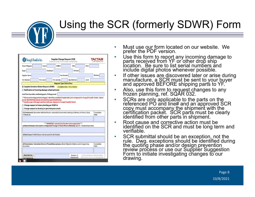#### Using the SCR (formerly SDWR) Form

•

•

•

•

|                       | Case #:                                                                                                                                                                                    |           | DMR#:          |                                                             | CR#                   |           | CN#    |                     |
|-----------------------|--------------------------------------------------------------------------------------------------------------------------------------------------------------------------------------------|-----------|----------------|-------------------------------------------------------------|-----------------------|-----------|--------|---------------------|
| Buyer:                |                                                                                                                                                                                            | Drawing#: |                |                                                             |                       | Revision: |        |                     |
| <b>Supplier Name:</b> |                                                                                                                                                                                            |           |                | Part Number:                                                |                       |           |        | <b>Revision:</b>    |
| P.O. Number:          | P.O. Line #:                                                                                                                                                                               |           | P.O. Line Qty: |                                                             | <b>Qty Defective:</b> |           | Job #: |                     |
|                       |                                                                                                                                                                                            |           |                | <b>Request Type (Select One)</b>                            |                       |           |        |                     |
|                       | X Supplier Deviation Waiver Request (SDWR)                                                                                                                                                 |           |                | (Complete items 1 thru 4 below)                             |                       |           |        |                     |
|                       | Notification of incoming damage (attach pictures)                                                                                                                                          |           |                |                                                             |                       |           |        |                     |
|                       | Lead-time to produce conforming parts, if disapproved:                                                                                                                                     |           |                |                                                             |                       |           |        |                     |
|                       | ***Include a copy of the approved form with your shipment to Young & Franklin Tactair.<br>Change request to frozen planning per SQAR 32<br>Change request to drawing or governing document |           |                |                                                             |                       |           |        |                     |
| In Transit, etc.      | (1) Containment: Quarantine defective Product and verify Containment including at Sub-tiers, In Process, Stock,                                                                            |           |                |                                                             |                       |           |        | Completion<br>Date: |
|                       |                                                                                                                                                                                            |           |                |                                                             |                       |           |        |                     |
|                       | (2) Nonconformance Description or Requested Change in Frozen Process Planning: Specific / Detailed Explanation                                                                             |           |                | ****REMINDER - Include Serial Numbers where applicable **** |                       |           |        |                     |
|                       |                                                                                                                                                                                            |           |                |                                                             |                       |           |        |                     |
|                       | (3) Root Cause: Verified Reason that Accounts for the Problem                                                                                                                              |           |                |                                                             |                       |           |        |                     |
|                       |                                                                                                                                                                                            |           |                |                                                             |                       |           |        |                     |
| Documents             | (4) Preventative / Corrective Action to Prevent Reoccurrence: Attach Objective Evidence and/or Supporting                                                                                  |           |                |                                                             |                       |           |        | Completion<br>Date: |
|                       |                                                                                                                                                                                            |           |                |                                                             |                       |           |        |                     |

- • Must use our form located on our website. We prefer the PDF version.
	- Use this form to report any incoming damage to parts received from YF or other drop ship location. Be sure to list serial numbers and include digital photos whenever possible.
- • If other issues are discovered later or arise during manufacture, a SCR must be sent to your buyer and approved BEFORE shipping parts to YF.
	- Also, use this form to request changes to any frozen planning, ref. SQAR 032.
	- SCRs are only applicable to the parts on the referenced PO and line# and an approved SCR copy must accompany the shipment with the certification packet. SCR parts must be clearly identified from other parts in shipment.
- • Root cause and corrective action must be identified on the SCR and must be long term and verifiable.
	- SCR submittal should be an exception, not the<br>rule. Dwg. exceptions should be identified during<br>the quoting phase and/or design prevention<br>review process or use our Supplier Suggestion<br>Form to initiate investigating change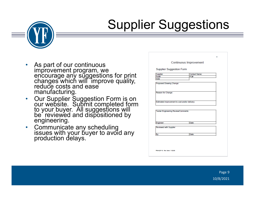## Supplier Suggestions



- • As part of our continuous improvement program, we encourage any suggestions for print changes which will improve quality, reduce costs and ease manufacturing.
- •Our Supplier Suggestion Form is on<br>our website. Submit completed form<br>to your buyer. All suggestions will<br>be reviewed and dispositioned by<br>engineering.
- $\bullet$ Communicate any scheduling issues with your buyer to avoid any production delays.

| Part#<br>Date<br>Proposed Drawing Change:<br>Reason for Change: | PO#   |  |
|-----------------------------------------------------------------|-------|--|
|                                                                 |       |  |
|                                                                 |       |  |
|                                                                 |       |  |
|                                                                 |       |  |
| Estimated improvement to cost and/or delivery:                  |       |  |
|                                                                 |       |  |
|                                                                 |       |  |
| Tactair Engineering Review/Comments:                            |       |  |
|                                                                 |       |  |
|                                                                 |       |  |
| Engineer:                                                       | Date: |  |
|                                                                 |       |  |
| Reviewed with Supplier                                          |       |  |
|                                                                 |       |  |
| By:                                                             | Date: |  |
|                                                                 |       |  |
|                                                                 |       |  |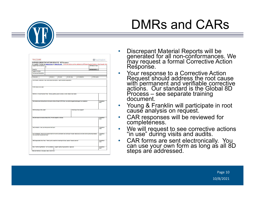

## DMRs and CARs

| SUPPLIER CORRECTIVE ACTION REQUEST - 8D Response |                                      |                                                                    |                                                                                     |                                                                                                        | For Supplier Training see www.yf.com or www.tfc.com Corrective Actions will be validated by YF/Tactair Supplier Quality on Next Supplier Visit      |               |                    |                                   |
|--------------------------------------------------|--------------------------------------|--------------------------------------------------------------------|-------------------------------------------------------------------------------------|--------------------------------------------------------------------------------------------------------|-----------------------------------------------------------------------------------------------------------------------------------------------------|---------------|--------------------|-----------------------------------|
| Supplier Name & Address:                         |                                      | ı                                                                  |                                                                                     |                                                                                                        |                                                                                                                                                     |               | CAR Date of Issue: |                                   |
| Reply To:                                        |                                      |                                                                    |                                                                                     |                                                                                                        |                                                                                                                                                     | CAR DUE DATE: |                    |                                   |
| Supplier e-mail(s):                              |                                      |                                                                    |                                                                                     |                                                                                                        |                                                                                                                                                     |               |                    |                                   |
| Part Number/Description:                         |                                      |                                                                    |                                                                                     |                                                                                                        |                                                                                                                                                     |               |                    |                                   |
|                                                  |                                      |                                                                    |                                                                                     |                                                                                                        |                                                                                                                                                     |               |                    |                                   |
| PO Number:                                       |                                      | PO Line #:                                                         | PO Lot #:                                                                           | PO Line Qty:                                                                                           | QTY Defective:                                                                                                                                      |               | YF/TFC QAR#:       |                                   |
| YF/TFC Notes from QAR:                           |                                      |                                                                    | (D1) Problem Statement / Non Conformance Description: Specific detailed explanation |                                                                                                        |                                                                                                                                                     |               |                    |                                   |
|                                                  |                                      |                                                                    |                                                                                     | (D2) Form a Cross Functional Team: Names, positions, phone numbers, email, indicate team leader        |                                                                                                                                                     |               |                    |                                   |
|                                                  |                                      |                                                                    |                                                                                     |                                                                                                        | (D3) Containment Actions/Interim Corrective Action: Protect YF/TFC from non-conforming parts and support our production                             |               |                    | Date:                             |
|                                                  | (D4) Root Cause: Why made?           |                                                                    |                                                                                     |                                                                                                        | Root Cause: How escaped?                                                                                                                            |               |                    |                                   |
|                                                  |                                      | (D5) Permanent Corrective Action (PCA): Provide objective evidence |                                                                                     |                                                                                                        |                                                                                                                                                     |               |                    | Completion<br>Completion<br>Date: |
|                                                  |                                      | (D6) Validation: Does your PCA prevent the issue?                  |                                                                                     |                                                                                                        |                                                                                                                                                     |               |                    | Date:                             |
|                                                  | that could have this potential issue |                                                                    |                                                                                     |                                                                                                        | (D7) Verification: How will you ensure that this fix will be permanent and continuous? Include read across to all other similar parts and processes |               |                    | Completion<br>Completion<br>Date: |
|                                                  |                                      |                                                                    |                                                                                     | (D8) Congratulate Your Team: Thank you for proactively resolving this issue, capture "Lessons Learned" |                                                                                                                                                     |               |                    | Completion<br>Date:               |

- •Discrepant Material Reports will be generated for all non-conformances. We may request a formal Corrective Action Response.
- •Your response to a Corrective Action<br>Request should address the root cause with permanent and verifiable corrective<br>actions. Our standard is the Global 8D Process – see separate training document.
- •Young & Franklin will participate in root cause analysis on request.
- •CAR responses will be reviewed for completeness.
- •We will request to see corrective actions<br>"in use" during visits and audits.
- •CAR forms are sent electronically. You can use your own form as long as all 8D steps are addressed.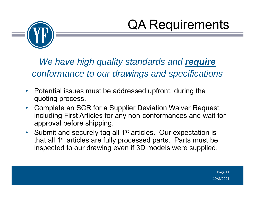



*We have high quality standards and require conformance to our drawings and specifications*

- $\bullet$  Potential issues must be addressed upfront, during the quoting process.
- $\bullet$  Complete an SCR for a Supplier Deviation Waiver Request. including First Articles for any non-conformances and wait for approval before shipping.
- Submit and securely tag all 1<sup>st</sup> articles. Our expectation is that all 1<sup>st</sup> articles are fully processed parts. Parts must be inspected to our drawing even if 3D models were supplied.

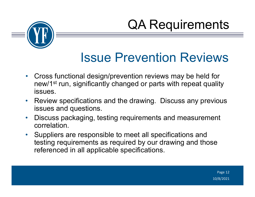QA Requirements



#### Issue Prevention Reviews

- $\bullet$  Cross functional design/prevention reviews may be held for new/1<sup>st</sup> run, significantly changed or parts with repeat quality issues.
- $\bullet$  Review specifications and the drawing. Discuss any previous issues and questions.
- $\bullet$  Discuss packaging, testing requirements and measurement correlation.
- Suppliers are responsible to meet all specifications and testing requirements as required by our drawing and those referenced in all applicable specifications.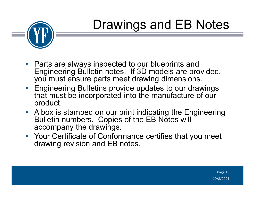## Drawings and EB Notes



- Parts are always inspected to our blueprints and Engineering Bulletin notes. If 3D models are provided, you must ensure parts meet drawing dimensions.
- Engineering Bulletins provide updates to our drawings that must be incorporated into the manufacture of our product.
- A box is stamped on our print indicating the Engineering Bulletin numbers. Copies of the EB Notes will accompany the drawings.
- Your Certificate of Conformance certifies that you meet drawing revision and EB notes.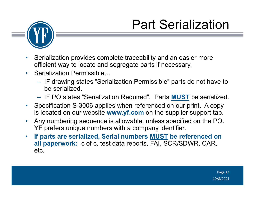



- • Serialization provides complete traceability and an easier more efficient way to locate and segregate parts if necessary.
- Serialization Permissible...
	- $-$  IF drawing states "Serialization Permissible" parts do not have to be serialized.
	- IF PO states "Serialization Required". Parts **MUST** be serialized.
- $\bullet$  Specification S-3006 applies when referenced on our print. A copy is located on our website **www.yf.com** on the supplier support tab.
- $\bullet$  Any numbering sequence is allowable, unless specified on the PO. YF prefers unique numbers with a company identifier.
- $\bullet$  **If parts are serialized, Serial numbers MUST be referenced on all paperwork:** c of c, test data reports, FAI, SCR/SDWR, CAR, etc.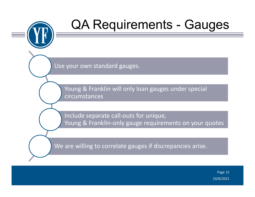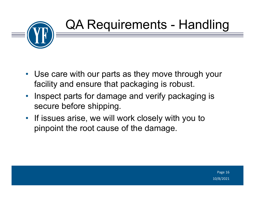

- Use care with our parts as they move through your facility and ensure that packaging is robust.
- Inspect parts for damage and verify packaging is secure before shipping.
- If issues arise, we will work closely with you to pinpoint the root cause of the damage.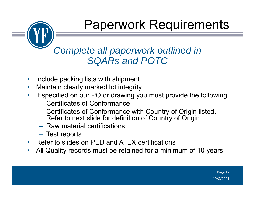#### Paperwork Requirements

#### *Complete all paperwork outlined in SQARs and POTC*

- •Include packing lists with shipment.
- •Maintain clearly marked lot integrity
- • If specified on our PO or drawing you must provide the following:
	- Certificates of Conformance
	- Certificates of Conformance with Country of Origin listed. Refer to next slide for definition of Country of Origin.
	- Raw material certifications
	- Test reports
- Refer to slides on PED and ATEX certifications
- •All Quality records must be retained for a minimum of 10 years.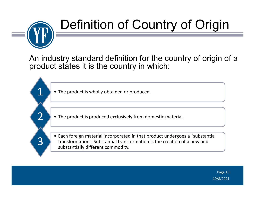

 $\mathbf 1$ 

2

3

## Definition of Country of Origin

An industry standard definition for the country of origin of a product states it is the country in which:

• The product is wholly obtained or produced.

• The product is produced exclusively from domestic material.

• Each foreign material incorporated in that product undergoes a "substantial transformation". Substantial transformation is the creation of a new and substantially different commodity.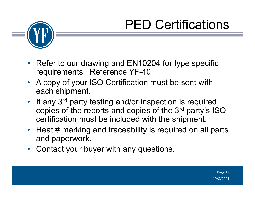## PED Certifications



- • Refer to our drawing and EN10204 for type specific requirements. Reference YF-40.
- A copy of your ISO Certification must be sent with each shipment.
- If any 3<sup>rd</sup> party testing and/or inspection is required, copies of the reports and copies of the 3rd party's ISO certification must be included with the shipment.
- Heat # marking and traceability is required on all parts and paperwork.
- •Contact your buyer with any questions.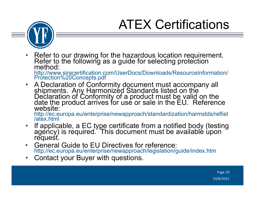## ATEX Certifications



- $\bullet$ Refer to our drawing for the hazardous location requirement.<br>Refer to the following as a guide for selecting protection<br>method: http://www.siracertification.com/UserDocs/Downloads/ResourceInformation/<br>Protection%20Concepts.pdf
- •A Declaration of Conformity document must accompany all<br>shipments. Any Harmonized Standards listed on the<br>Declaration of Conformity of a product must be valid on the<br>date the product arrives for use or sale in the EU. Refe

http://ec.europa.eu/enterprise/newapproach/standardization/harmstds/reflist<br>/atex.html

- $\bullet$ If applicable, a EC type certificate from a notified body (testing agency) is required. This document must be available upon request.
- $\bullet$  General Guide to EU Directives for reference: http://ec.europa.eu/enterprise/newapproach/legislation/guide/index.htm
- $\bullet$ Contact your Buyer with questions.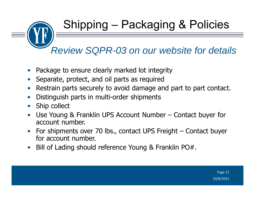Shipping – Packaging & Policies

*Review SQPR-03 on our website for details*

- •Package to ensure clearly marked lot integrity
- •Separate, protect, and oil parts as required
- •Restrain parts securely to avoid damage and part to part contact.
- •Distinguish parts in multi-order shipments
- •Ship collect
- • Use Young & Franklin UPS Account Number – Contact buyer for account number.
- $\bullet$  For shipments over 70 lbs., contact UPS Freight – Contact buyer for account number.
- $\bullet$ Bill of Lading should reference Young & Franklin PO#.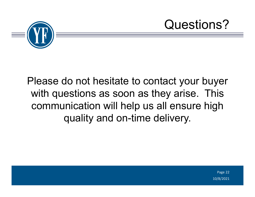

Please do not hesitate to contact your buyer with questions as soon as they arise. This communication will help us all ensure high quality and on-time delivery.